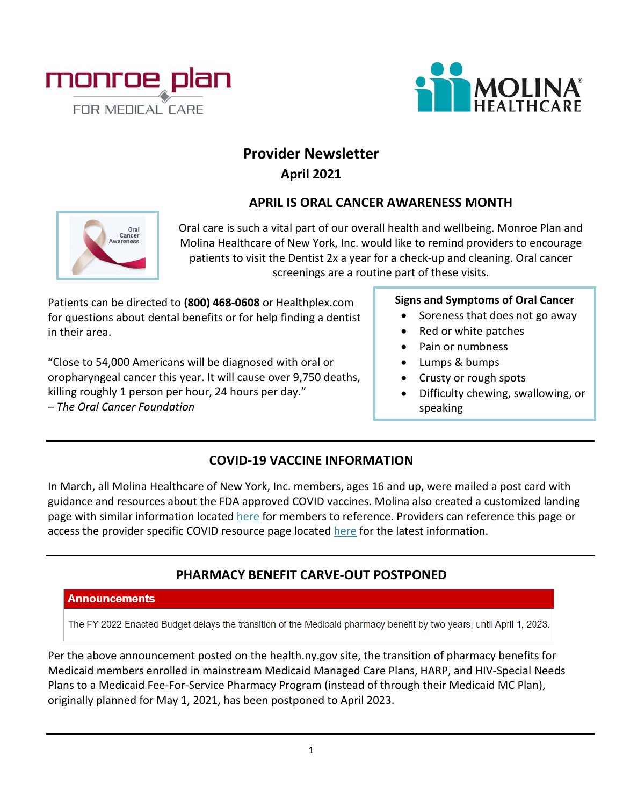



# **Provider Newsletter April 2021**

### **APRIL IS ORAL CANCER AWARENESS MONTH**



Oral care is such a vital part of our overall health and wellbeing. Monroe Plan and Molina Healthcare of New York, Inc. would like to remind providers to encourage patients to visit the Dentist 2x a year for a check-up and cleaning. Oral cancer screenings are a routine part of these visits.

Patients can be directed to **(800) 468-0608** or Healthplex.com for questions about dental benefits or for help finding a dentist in their area.

"Close to 54,000 Americans will be diagnosed with oral or oropharyngeal cancer this year. It will cause over 9,750 deaths, killing roughly 1 person per hour, 24 hours per day." *– The Oral Cancer Foundation*

### **Signs and Symptoms of Oral Cancer**

- Soreness that does not go away
- Red or white patches
- Pain or numbness
- Lumps & bumps
- Crusty or rough spots
- Difficulty chewing, swallowing, or speaking

### **COVID-19 VACCINE INFORMATION**

In March, all Molina Healthcare of New York, Inc. members, ages 16 and up, were mailed a post card with guidance and resources about the FDA approved COVID vaccines. Molina also created a customized landing page with similar information located [here](https://www.molinahealthcare.com/members/ny/en-us/mem/coronavirus.aspx) for members to reference. Providers can reference this page or access the provider specific COVID resource page located [here](https://www.molinahealthcare.com/providers/ny/medicaid/comm/COVID-19.aspx) for the latest information.

# **PHARMACY BENEFIT CARVE-OUT POSTPONED**

#### **Announcements**

The FY 2022 Enacted Budget delays the transition of the Medicaid pharmacy benefit by two years, until April 1, 2023.

Per the above announcement posted on the health.ny.gov site, the transition of pharmacy benefits for Medicaid members enrolled in mainstream Medicaid Managed Care Plans, HARP, and HIV-Special Needs Plans to a Medicaid Fee-For-Service Pharmacy Program (instead of through their Medicaid MC Plan), originally planned for May 1, 2021, has been postponed to April 2023.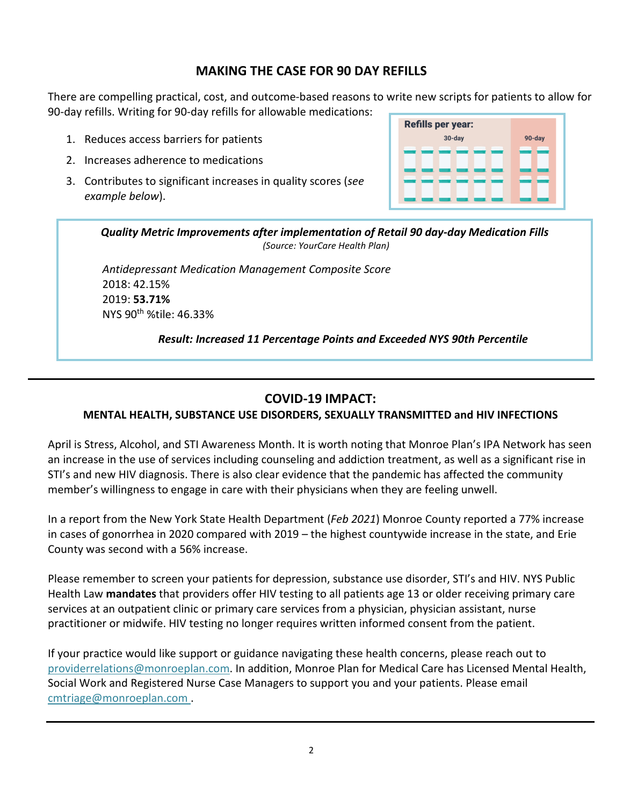### **MAKING THE CASE FOR 90 DAY REFILLS**

There are compelling practical, cost, and outcome-based reasons to write new scripts for patients to allow for 90-day refills. Writing for 90-day refills for allowable medications:

- 1. Reduces access barriers for patients
- 2. Increases adherence to medications
- 3. Contributes to significant increases in quality scores (*see example below*).



*Quality Metric Improvements after implementation of Retail 90 day-day Medication Fills (Source: YourCare Health Plan)*

*Antidepressant Medication Management Composite Score*  2018: 42.15% 2019: **53.71%** NYS 90th %tile: 46.33%

*Result: Increased 11 Percentage Points and Exceeded NYS 90th Percentile*

# **COVID-19 IMPACT:**

### **MENTAL HEALTH, SUBSTANCE USE DISORDERS, SEXUALLY TRANSMITTED and HIV INFECTIONS**

April is Stress, Alcohol, and STI Awareness Month. It is worth noting that Monroe Plan's IPA Network has seen an increase in the use of services including counseling and addiction treatment, as well as a significant rise in STI's and new HIV diagnosis. There is also clear evidence that the pandemic has affected the community member's willingness to engage in care with their physicians when they are feeling unwell.

In a report from the New York State Health Department (*Feb 2021*) Monroe County reported a 77% increase in cases of gonorrhea in 2020 compared with 2019 – the highest countywide increase in the state, and Erie County was second with a 56% increase.

Please remember to screen your patients for depression, substance use disorder, STI's and HIV. NYS Public Health Law **mandates** that providers offer HIV testing to all patients age 13 or older receiving primary care services at an outpatient clinic or primary care services from a physician, physician assistant, nurse practitioner or midwife. HIV testing no longer requires written informed consent from the patient.

If your practice would like support or guidance navigating these health concerns, please reach out to [providerrelations@monroeplan.com.](mailto:providerrelations@monroeplan.com) In addition, Monroe Plan for Medical Care has Licensed Mental Health, Social Work and Registered Nurse Case Managers to support you and your patients. Please email [cmtriage@monroeplan.com](mailto:cmtriage@monroeplan.com) .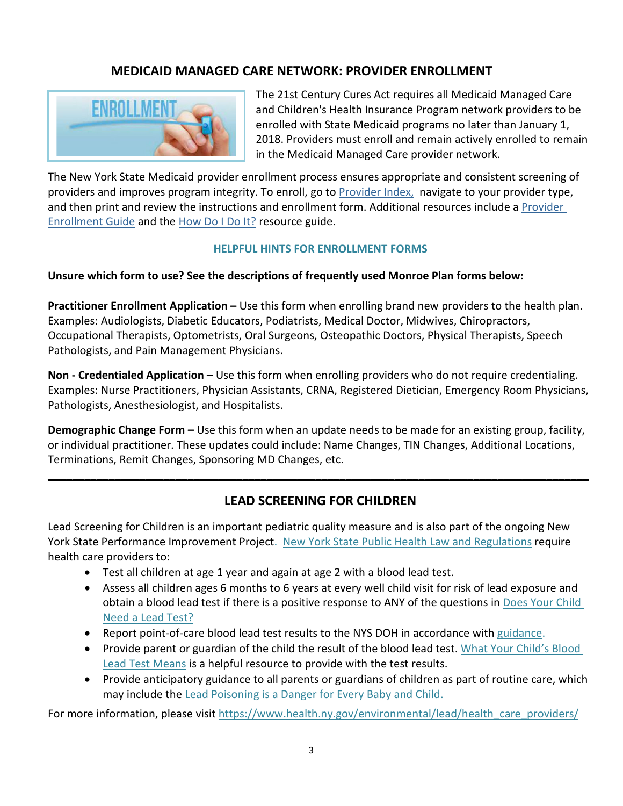# **MEDICAID MANAGED CARE NETWORK: PROVIDER ENROLLMENT**



The 21st Century Cures Act requires all Medicaid Managed Care and Children's Health Insurance Program network providers to be enrolled with State Medicaid programs no later than January 1, 2018. Providers must enroll and remain actively enrolled to remain in the Medicaid Managed Care provider network.

The New York State Medicaid provider enrollment process ensures appropriate and consistent screening of providers and improves program integrity. To enroll, go to [Provider Index,](https://www.emedny.org/info/ProviderEnrollment/index.aspx) navigate to your provider type, and then print and review the instructions and enrollment form. Additional resources include a Provider [Enrollment Guide](https://www.emedny.org/info/ProviderEnrollment/enrollguide.aspx) and the [How Do I Do It?](https://www.emedny.org/info/ProviderEnrollment/HowDoIDo.pdf) resource guide.

#### **HELPFUL HINTS FOR ENROLLMENT FORMS**

#### **Unsure which form to use? See the descriptions of frequently used Monroe Plan forms below:**

**Practitioner Enrollment Application –** Use this form when enrolling brand new providers to the health plan. Examples: Audiologists, Diabetic Educators, Podiatrists, Medical Doctor, Midwives, Chiropractors, Occupational Therapists, Optometrists, Oral Surgeons, Osteopathic Doctors, Physical Therapists, Speech Pathologists, and Pain Management Physicians.

**Non - Credentialed Application –** Use this form when enrolling providers who do not require credentialing. Examples: Nurse Practitioners, Physician Assistants, CRNA, Registered Dietician, Emergency Room Physicians, Pathologists, Anesthesiologist, and Hospitalists.

**Demographic Change Form –** Use this form when an update needs to be made for an existing group, facility, or individual practitioner. These updates could include: Name Changes, TIN Changes, Additional Locations, Terminations, Remit Changes, Sponsoring MD Changes, etc.

### **LEAD SCREENING FOR CHILDREN**

**\_\_\_\_\_\_\_\_\_\_\_\_\_\_\_\_\_\_\_\_\_\_\_\_\_\_\_\_\_\_\_\_\_\_\_\_\_\_\_\_\_\_\_\_\_\_\_\_\_\_\_\_\_\_\_\_\_\_\_\_\_\_\_\_\_\_\_\_\_\_\_\_\_\_\_\_\_\_\_\_\_\_\_\_\_\_\_\_\_**

Lead Screening for Children is an important pediatric quality measure and is also part of the ongoing New York State Performance Improvement Project. [New York State Public Health Law and Regulations](https://regs.health.ny.gov/volume-1a-title-10/content/part-67-lead-poisoning-prevention-and-control) require health care providers to:

- Test all children at age 1 year and again at age 2 with a blood lead test.
- Assess all children ages 6 months to 6 years at every well child visit for risk of lead exposure and obtain a blood lead test if there is a positive response to ANY of the questions in [Does Your Child](https://www.health.ny.gov/publications/6670.pdf)  [Need a Lead Test?](https://www.health.ny.gov/publications/6670.pdf)
- Report point-of-care blood lead test results to the NYS DOH in accordance with [guidance.](https://www.health.ny.gov/environmental/lead/laboratories.htm)
- Provide parent or guardian of the child the result of the blood lead test. What Your Child's Blood [Lead Test Means](https://www.health.ny.gov/publications/2526.pdf) is a helpful resource to provide with the test results.
- Provide anticipatory guidance to all parents or guardians of children as part of routine care, which may include the [Lead Poisoning is a Danger for Every Baby and Child.](https://www.health.ny.gov/publications/2594.pdf)

For more information, please visi[t https://www.health.ny.gov/environmental/lead/health\\_care\\_providers/](https://www.health.ny.gov/environmental/lead/health_care_providers/)